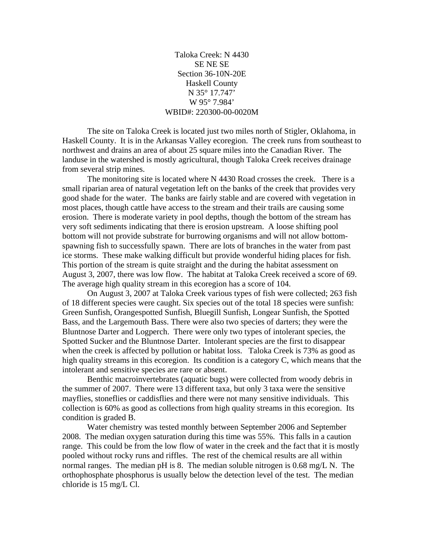Taloka Creek: N 4430 SE NE SE Section 36-10N-20E Haskell County N 35° 17.747' W 95° 7.984' WBID#: 220300-00-0020M

 The site on Taloka Creek is located just two miles north of Stigler, Oklahoma, in Haskell County. It is in the Arkansas Valley ecoregion. The creek runs from southeast to northwest and drains an area of about 25 square miles into the Canadian River. The landuse in the watershed is mostly agricultural, though Taloka Creek receives drainage from several strip mines.

 The monitoring site is located where N 4430 Road crosses the creek. There is a small riparian area of natural vegetation left on the banks of the creek that provides very good shade for the water. The banks are fairly stable and are covered with vegetation in most places, though cattle have access to the stream and their trails are causing some erosion. There is moderate variety in pool depths, though the bottom of the stream has very soft sediments indicating that there is erosion upstream. A loose shifting pool bottom will not provide substrate for burrowing organisms and will not allow bottomspawning fish to successfully spawn. There are lots of branches in the water from past ice storms. These make walking difficult but provide wonderful hiding places for fish. This portion of the stream is quite straight and the during the habitat assessment on August 3, 2007, there was low flow. The habitat at Taloka Creek received a score of 69. The average high quality stream in this ecoregion has a score of 104.

 On August 3, 2007 at Taloka Creek various types of fish were collected; 263 fish of 18 different species were caught. Six species out of the total 18 species were sunfish: Green Sunfish, Orangespotted Sunfish, Bluegill Sunfish, Longear Sunfish, the Spotted Bass, and the Largemouth Bass. There were also two species of darters; they were the Bluntnose Darter and Logperch. There were only two types of intolerant species, the Spotted Sucker and the Bluntnose Darter. Intolerant species are the first to disappear when the creek is affected by pollution or habitat loss. Taloka Creek is 73% as good as high quality streams in this ecoregion. Its condition is a category C, which means that the intolerant and sensitive species are rare or absent.

 Benthic macroinvertebrates (aquatic bugs) were collected from woody debris in the summer of 2007. There were 13 different taxa, but only 3 taxa were the sensitive mayflies, stoneflies or caddisflies and there were not many sensitive individuals. This collection is 60% as good as collections from high quality streams in this ecoregion. Its condition is graded B.

 Water chemistry was tested monthly between September 2006 and September 2008. The median oxygen saturation during this time was 55%. This falls in a caution range. This could be from the low flow of water in the creek and the fact that it is mostly pooled without rocky runs and riffles. The rest of the chemical results are all within normal ranges. The median pH is 8. The median soluble nitrogen is 0.68 mg/L N. The orthophosphate phosphorus is usually below the detection level of the test. The median chloride is 15 mg/L Cl.